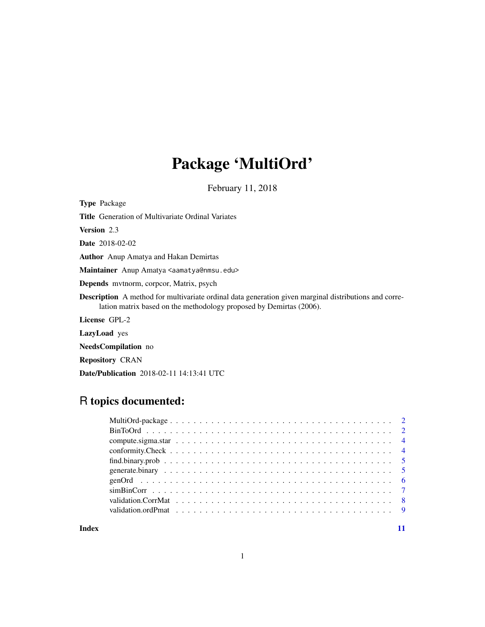## Package 'MultiOrd'

February 11, 2018

<span id="page-0-0"></span>Type Package

Title Generation of Multivariate Ordinal Variates

Version 2.3

Date 2018-02-02

Author Anup Amatya and Hakan Demirtas

Maintainer Anup Amatya <aamatya@nmsu.edu>

Depends mvtnorm, corpcor, Matrix, psych

Description A method for multivariate ordinal data generation given marginal distributions and correlation matrix based on the methodology proposed by Demirtas (2006).

License GPL-2

LazyLoad yes

NeedsCompilation no

Repository CRAN

Date/Publication 2018-02-11 14:13:41 UTC

## R topics documented:

**Index** [11](#page-10-0)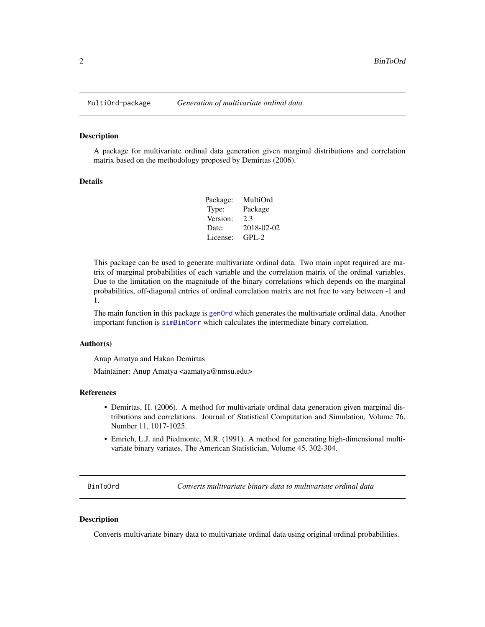#### Description

A package for multivariate ordinal data generation given marginal distributions and correlation matrix based on the methodology proposed by Demirtas (2006).

#### Details

| MultiOrd   |
|------------|
| Package    |
| 2.3        |
| 2018-02-02 |
| $GPI - 2$  |
|            |

This package can be used to generate multivariate ordinal data. Two main input required are matrix of marginal probabilities of each variable and the correlation matrix of the ordinal variables. Due to the limitation on the magnitude of the binary correlations which depends on the marginal probabilities, off-diagonal entries of ordinal correlation matrix are not free to vary between -1 and 1.

The main function in this package is [genOrd](#page-5-1) which generates the multivariate ordinal data. Another important function is [simBinCorr](#page-6-1) which calculates the intermediate binary correlation.

#### Author(s)

Anup Amatya and Hakan Demirtas

Maintainer: Anup Amatya <aamatya@nmsu.edu>

#### References

- Demirtas, H. (2006). A method for multivariate ordinal data generation given marginal distributions and correlations. Journal of Statistical Computation and Simulation, Volume 76, Number 11, 1017-1025.
- Emrich, L.J. and Piedmonte, M.R. (1991). A method for generating high-dimensional multivariate binary variates, The American Statistician, Volume 45, 302-304.

<span id="page-1-1"></span>BinToOrd *Converts multivariate binary data to multivariate ordinal data*

#### **Description**

Converts multivariate binary data to multivariate ordinal data using original ordinal probabilities.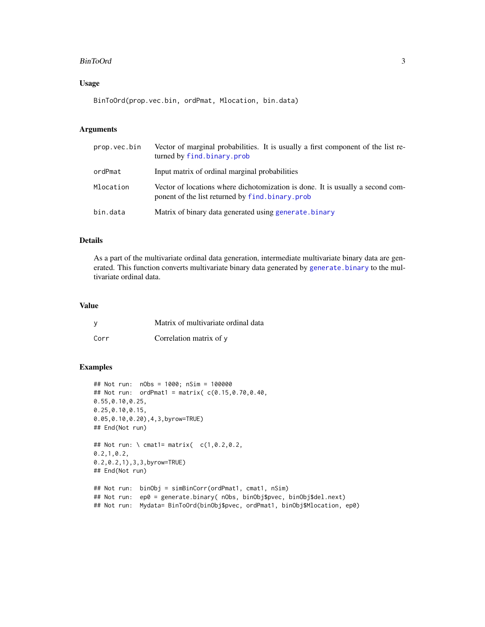#### <span id="page-2-0"></span>BinToOrd 3

## Usage

BinToOrd(prop.vec.bin, ordPmat, Mlocation, bin.data)

#### Arguments

| prop.vec.bin | Vector of marginal probabilities. It is usually a first component of the list re-<br>turned by find.binary.prob                     |
|--------------|-------------------------------------------------------------------------------------------------------------------------------------|
| ordPmat      | Input matrix of ordinal marginal probabilities                                                                                      |
| Mlocation    | Vector of locations where dichotomization is done. It is usually a second com-<br>ponent of the list returned by find, binary, prob |
| bin.data     | Matrix of binary data generated using generate. binary                                                                              |

## Details

As a part of the multivariate ordinal data generation, intermediate multivariate binary data are generated. This function converts multivariate binary data generated by generate. binary to the multivariate ordinal data.

#### Value

|      | Matrix of multivariate ordinal data |
|------|-------------------------------------|
| Corr | Correlation matrix of y             |

## Examples

```
## Not run: nObs = 1000; nSim = 100000
## Not run: ordPmat1 = matrix( c(0.15,0.70,0.40,
0.55,0.10,0.25,
0.25,0.10,0.15,
0.05,0.10,0.20),4,3,byrow=TRUE)
## End(Not run)
## Not run: \ cmat1= matrix( c(1,0.2,0.2,
0.2,1,0.2,
0.2,0.2,1),3,3,byrow=TRUE)
## End(Not run)
## Not run: binObj = simBinCorr(ordPmat1, cmat1, nSim)
## Not run: ep0 = generate.binary( nObs, binObj$pvec, binObj$del.next)
## Not run: Mydata= BinToOrd(binObj$pvec, ordPmat1, binObj$Mlocation, ep0)
```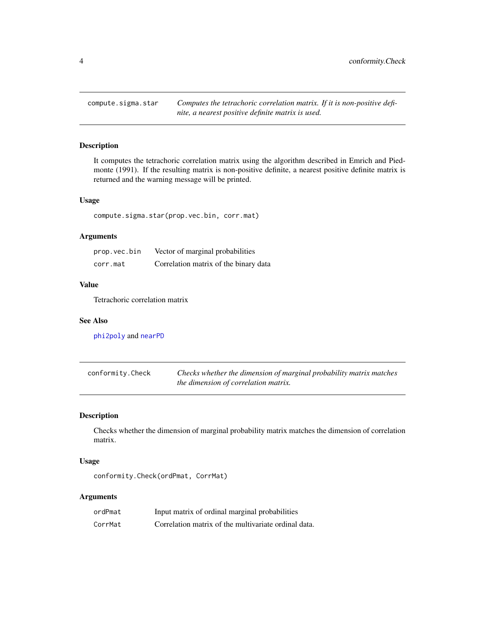<span id="page-3-1"></span><span id="page-3-0"></span>compute.sigma.star *Computes the tetrachoric correlation matrix. If it is non-positive definite, a nearest positive definite matrix is used.*

## Description

It computes the tetrachoric correlation matrix using the algorithm described in Emrich and Piedmonte (1991). If the resulting matrix is non-positive definite, a nearest positive definite matrix is returned and the warning message will be printed.

## Usage

compute.sigma.star(prop.vec.bin, corr.mat)

## Arguments

| prop.vec.bin | Vector of marginal probabilities      |
|--------------|---------------------------------------|
| corr.mat     | Correlation matrix of the binary data |

## Value

Tetrachoric correlation matrix

## See Also

[phi2poly](#page-0-0) and [nearPD](#page-0-0)

| conformity.Check | Checks whether the dimension of marginal probability matrix matches |
|------------------|---------------------------------------------------------------------|
|                  | the dimension of correlation matrix.                                |

## Description

Checks whether the dimension of marginal probability matrix matches the dimension of correlation matrix.

## Usage

```
conformity.Check(ordPmat, CorrMat)
```
## Arguments

| ordPmat | Input matrix of ordinal marginal probabilities       |
|---------|------------------------------------------------------|
| CorrMat | Correlation matrix of the multivariate ordinal data. |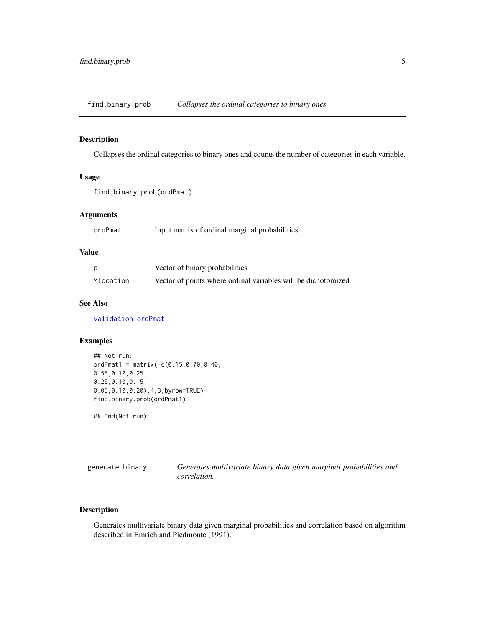<span id="page-4-1"></span><span id="page-4-0"></span>find.binary.prob *Collapses the ordinal categories to binary ones*

## Description

Collapses the ordinal categories to binary ones and counts the number of categories in each variable.

## Usage

```
find.binary.prob(ordPmat)
```
## Arguments

|  | ordPmat |  |  |  |  | Input matrix of ordinal marginal probabilities. |
|--|---------|--|--|--|--|-------------------------------------------------|
|--|---------|--|--|--|--|-------------------------------------------------|

## Value

| p         | Vector of binary probabilities                                |
|-----------|---------------------------------------------------------------|
| Mlocation | Vector of points where ordinal variables will be dichotomized |

#### See Also

[validation.ordPmat](#page-8-1)

## Examples

```
## Not run:
ordPmat1 = matrix(C(0.15, 0.70, 0.40,0.55,0.10,0.25,
0.25,0.10,0.15,
0.05,0.10,0.20),4,3,byrow=TRUE)
find.binary.prob(ordPmat1)
```
## End(Not run)

<span id="page-4-2"></span>generate.binary *Generates multivariate binary data given marginal probabilities and correlation.*

## Description

Generates multivariate binary data given marginal probabilities and correlation based on algorithm described in Emrich and Piedmonte (1991).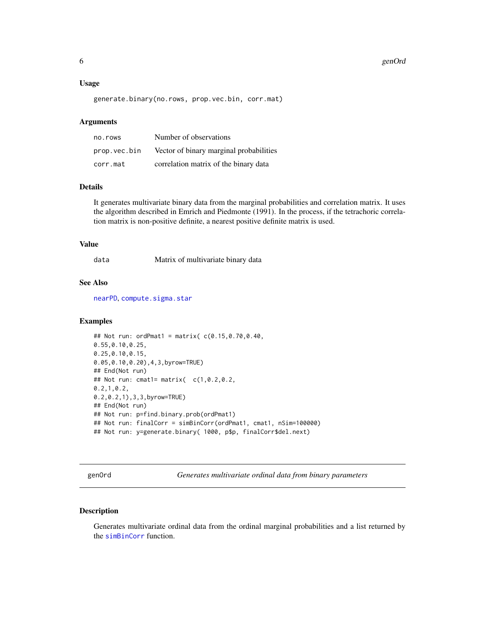#### <span id="page-5-0"></span>6 genOrd

#### Usage

generate.binary(no.rows, prop.vec.bin, corr.mat)

#### Arguments

| no.rows      | Number of observations                  |
|--------------|-----------------------------------------|
| prop.vec.bin | Vector of binary marginal probabilities |
| corr.mat     | correlation matrix of the binary data   |

## Details

It generates multivariate binary data from the marginal probabilities and correlation matrix. It uses the algorithm described in Emrich and Piedmonte (1991). In the process, if the tetrachoric correlation matrix is non-positive definite, a nearest positive definite matrix is used.

#### Value

data Matrix of multivariate binary data

## See Also

[nearPD](#page-0-0), [compute.sigma.star](#page-3-1)

#### Examples

```
## Not run: ordPmat1 = matrix(c(0.15, 0.70, 0.40, 0.40)0.55,0.10,0.25,
0.25,0.10,0.15,
0.05,0.10,0.20),4,3,byrow=TRUE)
## End(Not run)
## Not run: cmat1= matrix( c(1,0.2,0.2,
0.2,1,0.2,
0.2,0.2,1),3,3,byrow=TRUE)
## End(Not run)
## Not run: p=find.binary.prob(ordPmat1)
## Not run: finalCorr = simBinCorr(ordPmat1, cmat1, nSim=100000)
## Not run: y=generate.binary( 1000, p$p, finalCorr$del.next)
```
<span id="page-5-1"></span>genOrd *Generates multivariate ordinal data from binary parameters*

#### Description

Generates multivariate ordinal data from the ordinal marginal probabilities and a list returned by the [simBinCorr](#page-6-1) function.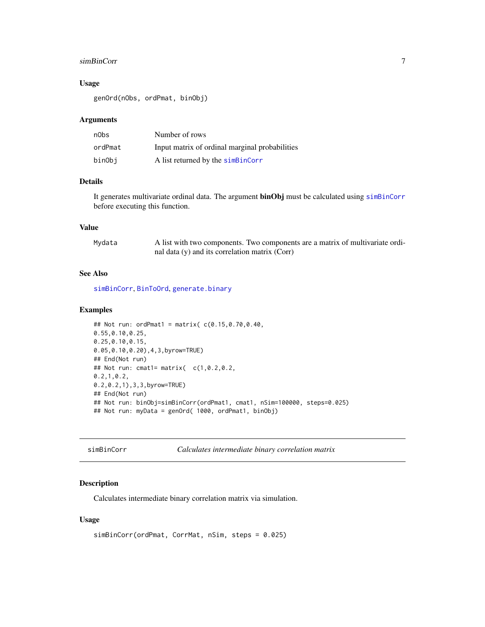#### <span id="page-6-0"></span>simBinCorr 7

## Usage

genOrd(nObs, ordPmat, binObj)

## Arguments

| n0bs    | Number of rows                                 |
|---------|------------------------------------------------|
| ordPmat | Input matrix of ordinal marginal probabilities |
| binObi  | A list returned by the simBinCorr              |

#### Details

It generates multivariate ordinal data. The argument **binObj** must be calculated using [simBinCorr](#page-6-1) before executing this function.

#### Value

| Mydata | A list with two components. Two components are a matrix of multivariate ordi- |
|--------|-------------------------------------------------------------------------------|
|        | nal data $(y)$ and its correlation matrix $(Corr)$                            |

#### See Also

[simBinCorr](#page-6-1), [BinToOrd](#page-1-1), [generate.binary](#page-4-2)

#### Examples

```
## Not run: ordPmat1 = matrix( c(0.15,0.70,0.40,
0.55,0.10,0.25,
0.25,0.10,0.15,
0.05,0.10,0.20),4,3,byrow=TRUE)
## End(Not run)
## Not run: cmat1= matrix( c(1,0.2,0.2,
0.2,1,0.2,
0.2,0.2,1),3,3,byrow=TRUE)
## End(Not run)
## Not run: binObj=simBinCorr(ordPmat1, cmat1, nSim=100000, steps=0.025)
## Not run: myData = genOrd( 1000, ordPmat1, binObj)
```
<span id="page-6-1"></span>simBinCorr *Calculates intermediate binary correlation matrix*

## Description

Calculates intermediate binary correlation matrix via simulation.

#### Usage

```
simBinCorr(ordPmat, CorrMat, nSim, steps = 0.025)
```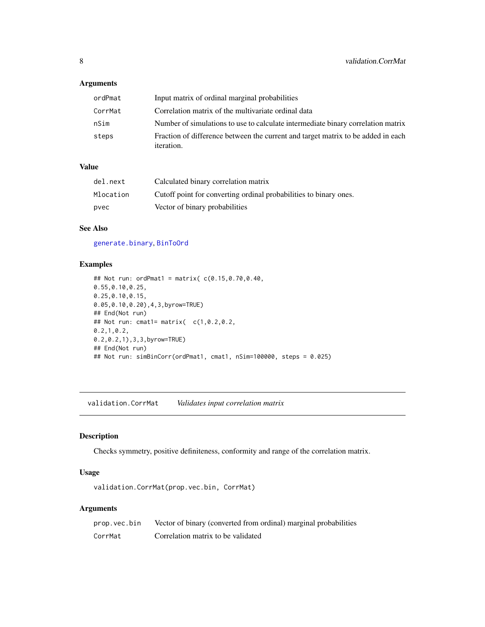## <span id="page-7-0"></span>Arguments

| ordPmat | Input matrix of ordinal marginal probabilities                                                        |
|---------|-------------------------------------------------------------------------------------------------------|
| CorrMat | Correlation matrix of the multivariate ordinal data                                                   |
| nSim    | Number of simulations to use to calculate intermediate binary correlation matrix                      |
| steps   | Fraction of difference between the current and target matrix to be added in each<br><i>iteration.</i> |

## Value

| del.next  | Calculated binary correlation matrix                              |
|-----------|-------------------------------------------------------------------|
| Mlocation | Cutoff point for converting ordinal probabilities to binary ones. |
| pvec      | Vector of binary probabilities                                    |

## See Also

[generate.binary](#page-4-2), [BinToOrd](#page-1-1)

## Examples

```
## Not run: ordPmat1 = matrix( c(0.15,0.70,0.40,
0.55,0.10,0.25,
0.25,0.10,0.15,
0.05,0.10,0.20),4,3,byrow=TRUE)
## End(Not run)
## Not run: cmat1= matrix( c(1,0.2,0.2,
0.2,1,0.2,
0.2,0.2,1),3,3,byrow=TRUE)
## End(Not run)
## Not run: simBinCorr(ordPmat1, cmat1, nSim=100000, steps = 0.025)
```
validation.CorrMat *Validates input correlation matrix*

## Description

Checks symmetry, positive definiteness, conformity and range of the correlation matrix.

#### Usage

validation.CorrMat(prop.vec.bin, CorrMat)

## Arguments

| prop.vec.bin | Vector of binary (converted from ordinal) marginal probabilities |
|--------------|------------------------------------------------------------------|
| CorrMat      | Correlation matrix to be validated                               |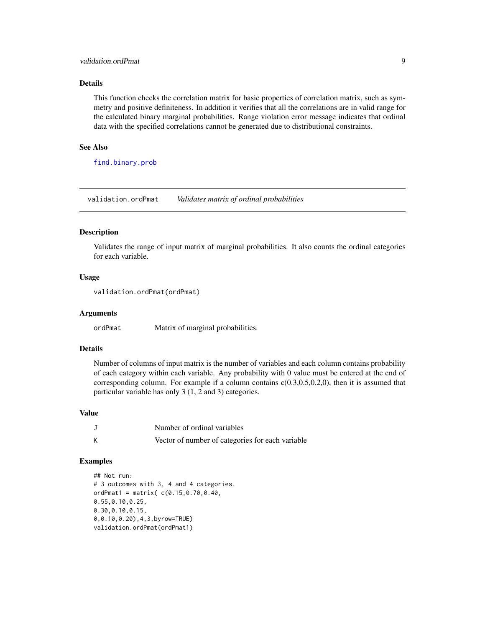#### <span id="page-8-0"></span>validation.ordPmat 9

#### Details

This function checks the correlation matrix for basic properties of correlation matrix, such as symmetry and positive definiteness. In addition it verifies that all the correlations are in valid range for the calculated binary marginal probabilities. Range violation error message indicates that ordinal data with the specified correlations cannot be generated due to distributional constraints.

#### See Also

[find.binary.prob](#page-4-1)

<span id="page-8-1"></span>validation.ordPmat *Validates matrix of ordinal probabilities*

#### Description

Validates the range of input matrix of marginal probabilities. It also counts the ordinal categories for each variable.

#### Usage

```
validation.ordPmat(ordPmat)
```
#### Arguments

ordPmat Matrix of marginal probabilities.

## Details

Number of columns of input matrix is the number of variables and each column contains probability of each category within each variable. Any probability with 0 value must be entered at the end of corresponding column. For example if a column contains  $c(0.3,0.5,0.2,0)$ , then it is assumed that particular variable has only 3 (1, 2 and 3) categories.

## Value

|   | Number of ordinal variables                      |
|---|--------------------------------------------------|
| K | Vector of number of categories for each variable |

## Examples

```
## Not run:
# 3 outcomes with 3, 4 and 4 categories.
ordPmat1 = matrix( c(0.15, 0.70, 0.40,0.55,0.10,0.25,
0.30,0.10,0.15,
0,0.10,0.20),4,3,byrow=TRUE)
validation.ordPmat(ordPmat1)
```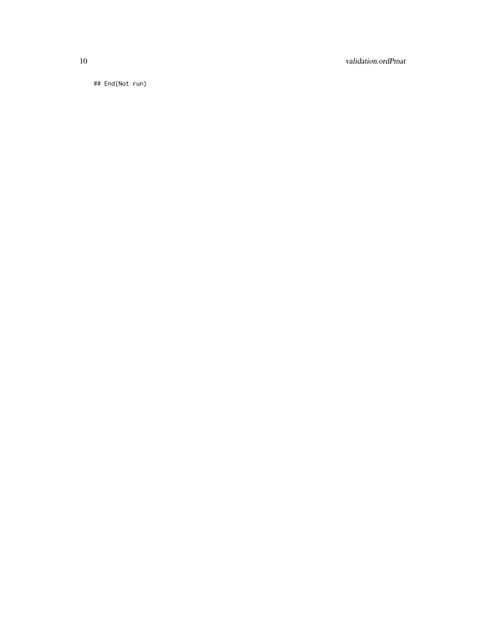10 validation.ordPmat

## End(Not run)